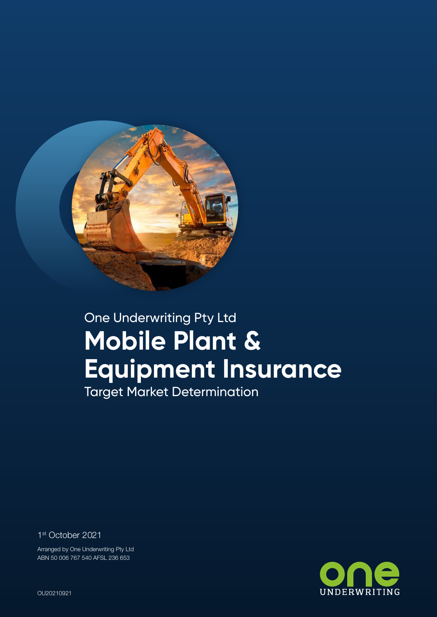

# One Underwriting Pty Ltd **Mobile Plant & Equipment Insurance**

Target Market Determination

1st October 2021

Arranged by One Underwriting Pty Ltd ABN 50 006 767 540 AFSL 236 653



One Underwriting Securus Motor Vehicle Insurance OU20210921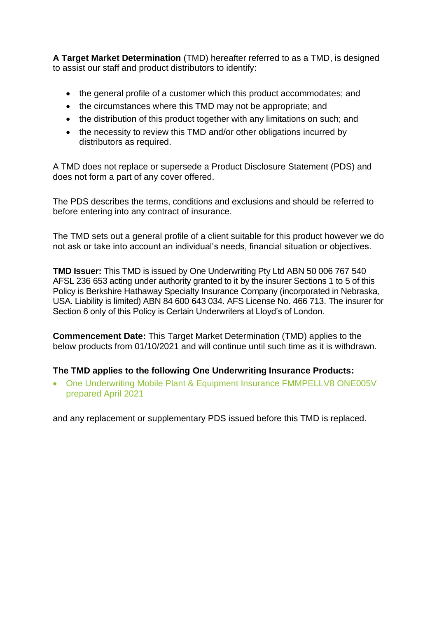**A Target Market Determination** (TMD) hereafter referred to as a TMD, is designed to assist our staff and product distributors to identify:

- the general profile of a customer which this product accommodates: and
- the circumstances where this TMD may not be appropriate; and
- the distribution of this product together with any limitations on such; and
- the necessity to review this TMD and/or other obligations incurred by distributors as required.

A TMD does not replace or supersede a Product Disclosure Statement (PDS) and does not form a part of any cover offered.

The PDS describes the terms, conditions and exclusions and should be referred to before entering into any contract of insurance.

The TMD sets out a general profile of a client suitable for this product however we do not ask or take into account an individual's needs, financial situation or objectives.

**TMD Issuer:** This TMD is issued by One Underwriting Pty Ltd ABN 50 006 767 540 AFSL 236 653 acting under authority granted to it by the insurer Sections 1 to 5 of this Policy is Berkshire Hathaway Specialty Insurance Company (incorporated in Nebraska, USA. Liability is limited) ABN 84 600 643 034. AFS License No. 466 713. The insurer for Section 6 only of this Policy is Certain Underwriters at Lloyd's of London.

**Commencement Date:** This Target Market Determination (TMD) applies to the below products from 01/10/2021 and will continue until such time as it is withdrawn.

#### **The TMD applies to the following One Underwriting Insurance Products:**

• One Underwriting Mobile Plant & Equipment Insurance FMMPELLV8 ONE005V prepared April 2021

and any replacement or supplementary PDS issued before this TMD is replaced.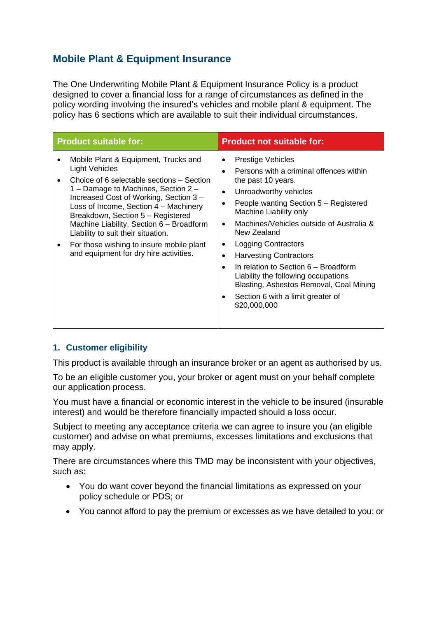# **Mobile Plant & Equipment Insurance**

The One Underwriting Mobile Plant & Equipment Insurance Policy is a product designed to cover a financial loss for a range of circumstances as defined in the policy wording involving the insured's vehicles and mobile plant & equipment. The policy has 6 sections which are available to suit their individual circumstances.

| <b>Product suitable for:</b>                                                                                                                                                                                                                                                                                                                                                                                                                      | <b>Product not suitable for:</b>                                                                                                                                                                                                                                                                                                                                                                                                                                                                                                                                                             |
|---------------------------------------------------------------------------------------------------------------------------------------------------------------------------------------------------------------------------------------------------------------------------------------------------------------------------------------------------------------------------------------------------------------------------------------------------|----------------------------------------------------------------------------------------------------------------------------------------------------------------------------------------------------------------------------------------------------------------------------------------------------------------------------------------------------------------------------------------------------------------------------------------------------------------------------------------------------------------------------------------------------------------------------------------------|
| Mobile Plant & Equipment, Trucks and<br><b>Light Vehicles</b><br>Choice of 6 selectable sections – Section<br>1 – Damage to Machines, Section 2 –<br>Increased Cost of Working, Section 3 -<br>Loss of Income, Section 4 - Machinery<br>Breakdown, Section 5 - Registered<br>Machine Liability, Section 6 - Broadform<br>Liability to suit their situation.<br>For those wishing to insure mobile plant<br>and equipment for dry hire activities. | <b>Prestige Vehicles</b><br>$\bullet$<br>Persons with a criminal offences within<br>$\bullet$<br>the past 10 years.<br>Unroadworthy vehicles<br>$\bullet$<br>People wanting Section 5 - Registered<br>٠<br>Machine Liability only<br>Machines/Vehicles outside of Australia &<br>$\bullet$<br>New Zealand<br>Logging Contractors<br>٠<br><b>Harvesting Contractors</b><br>$\bullet$<br>In relation to Section 6 – Broadform<br>$\bullet$<br>Liability the following occupations<br>Blasting, Asbestos Removal, Coal Mining<br>Section 6 with a limit greater of<br>$\bullet$<br>\$20,000,000 |

#### **1. Customer eligibility**

This product is available through an insurance broker or an agent as authorised by us.

To be an eligible customer you, your broker or agent must on your behalf complete our application process.

You must have a financial or economic interest in the vehicle to be insured (insurable interest) and would be therefore financially impacted should a loss occur.

Subject to meeting any acceptance criteria we can agree to insure you (an eligible customer) and advise on what premiums, excesses limitations and exclusions that may apply.

There are circumstances where this TMD may be inconsistent with your objectives, such as:

- You do want cover beyond the financial limitations as expressed on your policy schedule or PDS; or
- You cannot afford to pay the premium or excesses as we have detailed to you; or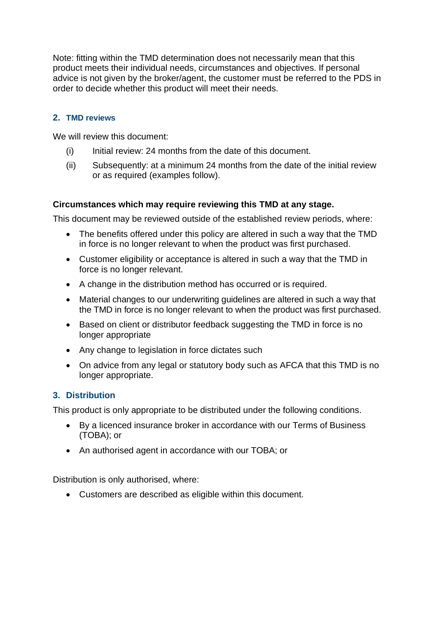Note: fitting within the TMD determination does not necessarily mean that this product meets their individual needs, circumstances and objectives. If personal advice is not given by the broker/agent, the customer must be referred to the PDS in order to decide whether this product will meet their needs.

### **2. TMD reviews**

We will review this document:

- (i) Initial review: 24 months from the date of this document.
- (ii) Subsequently: at a minimum 24 months from the date of the initial review or as required (examples follow).

#### **Circumstances which may require reviewing this TMD at any stage.**

This document may be reviewed outside of the established review periods, where:

- The benefits offered under this policy are altered in such a way that the TMD in force is no longer relevant to when the product was first purchased.
- Customer eligibility or acceptance is altered in such a way that the TMD in force is no longer relevant.
- A change in the distribution method has occurred or is required.
- Material changes to our underwriting guidelines are altered in such a way that the TMD in force is no longer relevant to when the product was first purchased.
- Based on client or distributor feedback suggesting the TMD in force is no longer appropriate
- Any change to legislation in force dictates such
- On advice from any legal or statutory body such as AFCA that this TMD is no longer appropriate.

#### **3. Distribution**

This product is only appropriate to be distributed under the following conditions.

- By a licenced insurance broker in accordance with our Terms of Business (TOBA); or
- An authorised agent in accordance with our TOBA; or

Distribution is only authorised, where:

• Customers are described as eligible within this document.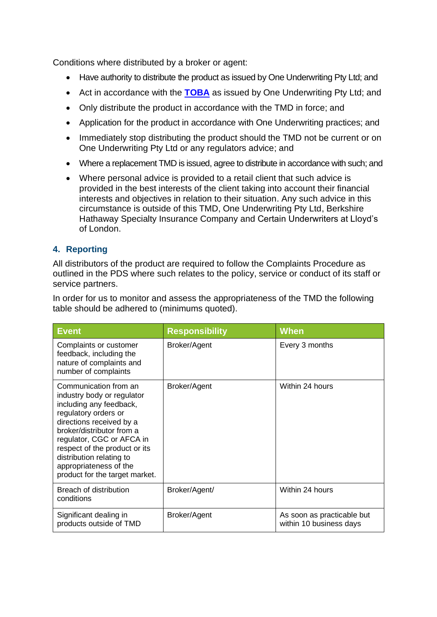Conditions where distributed by a broker or agent:

- Have authority to distribute the product as issued by One Underwriting Pty Ltd: and
- Act in accordance with the **[TOBA](https://oneunderwriting.com.au/OneUnderwriting/media/Common/Docs/Terms-Of-Use.pdf)** as issued by One Underwriting Pty Ltd; and
- Only distribute the product in accordance with the TMD in force; and
- Application for the product in accordance with One Underwriting practices; and
- Immediately stop distributing the product should the TMD not be current or on One Underwriting Pty Ltd or any regulators advice; and
- Where a replacement TMD is issued, agree to distribute in accordance with such; and
- Where personal advice is provided to a retail client that such advice is provided in the best interests of the client taking into account their financial interests and objectives in relation to their situation. Any such advice in this circumstance is outside of this TMD, One Underwriting Pty Ltd, Berkshire Hathaway Specialty Insurance Company and Certain Underwriters at Lloyd's of London.

## **4. Reporting**

All distributors of the product are required to follow the Complaints Procedure as outlined in the PDS where such relates to the policy, service or conduct of its staff or service partners.

In order for us to monitor and assess the appropriateness of the TMD the following table should be adhered to (minimums quoted).

| <b>Event</b>                                                                                                                                                                                                                                                                                                          | <b>Responsibility</b> | <b>When</b>                                           |
|-----------------------------------------------------------------------------------------------------------------------------------------------------------------------------------------------------------------------------------------------------------------------------------------------------------------------|-----------------------|-------------------------------------------------------|
| Complaints or customer<br>feedback, including the<br>nature of complaints and<br>number of complaints                                                                                                                                                                                                                 | Broker/Agent          | Every 3 months                                        |
| Communication from an<br>industry body or regulator<br>including any feedback,<br>regulatory orders or<br>directions received by a<br>broker/distributor from a<br>regulator, CGC or AFCA in<br>respect of the product or its<br>distribution relating to<br>appropriateness of the<br>product for the target market. | Broker/Agent          | Within 24 hours                                       |
| Breach of distribution<br>conditions                                                                                                                                                                                                                                                                                  | Broker/Agent/         | Within 24 hours                                       |
| Significant dealing in<br>products outside of TMD                                                                                                                                                                                                                                                                     | Broker/Agent          | As soon as practicable but<br>within 10 business days |